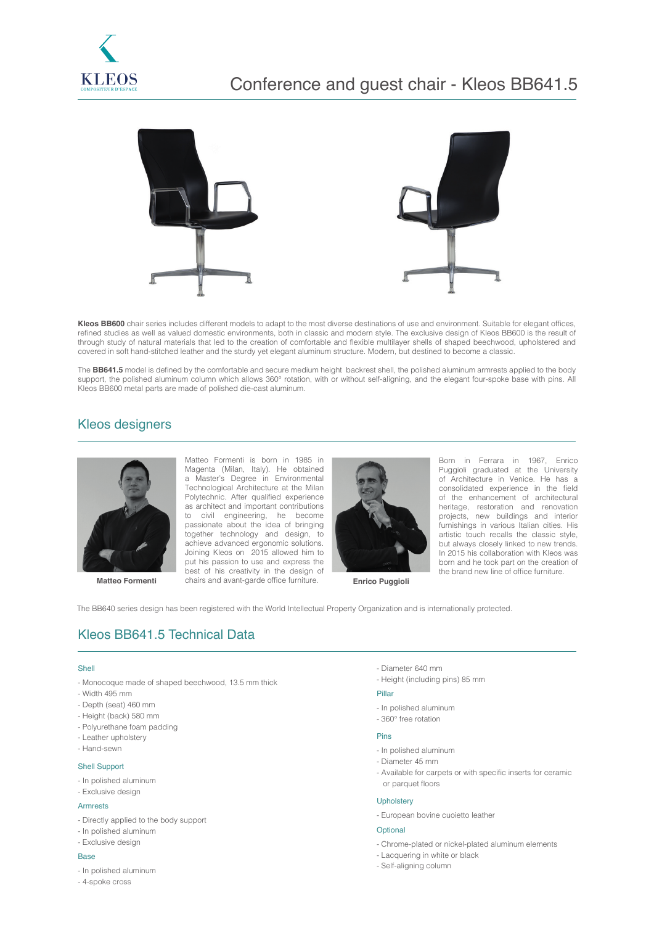



**Kleos BB600** chair series includes different models to adapt to the most diverse destinations of use and environment. Suitable for elegant offices, refined studies as well as valued domestic environments, both in classic and modern style. The exclusive design of Kleos BB600 is the result of through study of natural materials that led to the creation of comfortable and flexible multilayer shells of shaped beechwood, upholstered and covered in soft hand-stitched leather and the sturdy yet elegant aluminum structure. Modern, but destined to become a classic.

The **BB641.5** model is defined by the comfortable and secure medium height backrest shell, the polished aluminum armrests applied to the body support, the polished aluminum column which allows 360° rotation, with or without self-aligning, and the elegant four-spoke base with pins. All Kleos BB600 metal parts are made of polished die-cast aluminum.

## Kleos designers



**Matteo Formenti Enrico Puggioli** chairs and avant-garde office furniture. **Enrico Puggioli** Matteo Formenti is born in 1985 in Magenta (Milan, Italy). He obtained a Master's Degree in Environmental Technological Architecture at the Milan Polytechnic. After qualified experience as architect and important contributions to civil engineering, he become passionate about the idea of bringing together technology and design, to achieve advanced ergonomic solutions. Joining Kleos on 2015 allowed him to put his passion to use and express the best of his creativity in the design of



Born in Ferrara in 1967, Enrico Puggioli graduated at the University of Architecture in Venice. He has a consolidated experience in the field of the enhancement of architectural heritage, restoration and renovation projects, new buildings and interior furnishings in various Italian cities. His artistic touch recalls the classic style, but always closely linked to new trends. In 2015 his collaboration with Kleos was born and he took part on the creation of the brand new line of office furniture.

The BB640 series design has been registered with the World Intellectual Property Organization and is internationally protected.

# Kleos BB641.5 Technical Data

#### Shell

- Monocoque made of shaped beechwood, 13.5 mm thick
- Width 495 mm
- Depth (seat) 460 mm
- Height (back) 580 mm
- Polyurethane foam padding
- Leather upholstery
- Hand-sewn

### Shell Support

- In polished aluminum
- Exclusive design

#### **Armrests**

- Directly applied to the body support
- In polished aluminum
- Exclusive design

### **Base**

- In polished aluminum
- 4-spoke cross
- Diameter 640 mm
- Height (including pins) 85 mm

### Pillar

- In polished aluminum
- 360° free rotation

#### Pins

- In polished aluminum
- Diameter 45 mm
- Available for carpets or with specific inserts for ceramic or parquet floors

### **Upholstery**

- European bovine cuoietto leather

#### Optional

- Chrome-plated or nickel-plated aluminum elements
- Lacquering in white or black
- Self-aligning column